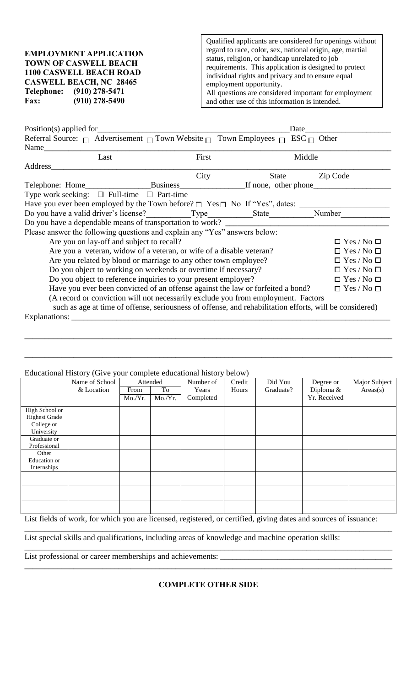**EMPLOYMENT APPLICATION TOWN OF CASWELL BEACH 1100 CASWELL BEACH ROAD CASWELL BEACH, NC 28465 Telephone: (910) 278-5471 Fax: (910) 278-5490**

Qualified applicants are considered for openings without regard to race, color, sex, national origin, age, martial status, religion, or handicap unrelated to job requirements. This application is designed to protect individual rights and privacy and to ensure equal employment opportunity. All questions are considered important for employment and other use of this information is intended.

| $Position(s)$ applied for                                                                               |                        | Date  |                        |  |  |
|---------------------------------------------------------------------------------------------------------|------------------------|-------|------------------------|--|--|
| Referral Source: $\Box$ Advertisement $\Box$ Town Website $\Box$ Town Employees $\Box$ ESC $\Box$ Other |                        |       |                        |  |  |
| Name                                                                                                    |                        |       |                        |  |  |
| Last                                                                                                    | First                  |       | Middle                 |  |  |
| Address                                                                                                 |                        |       |                        |  |  |
|                                                                                                         | City                   | State | Zip Code               |  |  |
| Telephone: Home______________________Business_____________________If none, other phone______________    |                        |       |                        |  |  |
| Type work seeking: $\Box$ Full-time $\Box$ Part-time                                                    |                        |       |                        |  |  |
| Have you ever been employed by the Town before? $\square$ Yes $\square$ No If "Yes", dates:             |                        |       |                        |  |  |
| Do you have a valid driver's license? Type State Number Number                                          |                        |       |                        |  |  |
|                                                                                                         |                        |       |                        |  |  |
| Please answer the following questions and explain any "Yes" answers below:                              |                        |       |                        |  |  |
| Are you on lay-off and subject to recall?                                                               |                        |       | $\Box$ Yes / No $\Box$ |  |  |
| Are you a veteran, widow of a veteran, or wife of a disable veteran?<br>$\Box$ Yes / No $\Box$          |                        |       |                        |  |  |
| Are you related by blood or marriage to any other town employee?                                        | $\Box$ Yes / No $\Box$ |       |                        |  |  |
| Do you object to working on weekends or overtime if necessary?                                          | $\Box$ Yes / No $\Box$ |       |                        |  |  |
| Do you object to reference inquiries to your present employer?                                          | $\Box$ Yes / No $\Box$ |       |                        |  |  |
| Have you ever been convicted of an offense against the law or forfeited a bond?                         |                        |       | $\Box$ Yes / No $\Box$ |  |  |
| (A record or conviction will not necessarily exclude you from employment. Factors                       |                        |       |                        |  |  |
| such as age at time of offense, seriousness of offense, and rehabilitation efforts, will be considered) |                        |       |                        |  |  |
| Explanations:                                                                                           |                        |       |                        |  |  |

Educational History (Give your complete educational history below)

| <b>Educational History (Grve your complete educational mistory below)</b> |                |          |        |           |        |           |              |               |
|---------------------------------------------------------------------------|----------------|----------|--------|-----------|--------|-----------|--------------|---------------|
|                                                                           | Name of School | Attended |        | Number of | Credit | Did You   | Degree or    | Major Subject |
|                                                                           | & Location     | From     | To     | Years     | Hours  | Graduate? | Diploma &    | Areas(s)      |
|                                                                           |                | Mo/Yr.   | Mo/Yr. | Completed |        |           | Yr. Received |               |
| High School or                                                            |                |          |        |           |        |           |              |               |
| <b>Highest Grade</b>                                                      |                |          |        |           |        |           |              |               |
|                                                                           |                |          |        |           |        |           |              |               |
| College or                                                                |                |          |        |           |        |           |              |               |
| University                                                                |                |          |        |           |        |           |              |               |
| Graduate or                                                               |                |          |        |           |        |           |              |               |
| Professional                                                              |                |          |        |           |        |           |              |               |
| Other                                                                     |                |          |        |           |        |           |              |               |
| Education or                                                              |                |          |        |           |        |           |              |               |
| Internships                                                               |                |          |        |           |        |           |              |               |
|                                                                           |                |          |        |           |        |           |              |               |
|                                                                           |                |          |        |           |        |           |              |               |
|                                                                           |                |          |        |           |        |           |              |               |
|                                                                           |                |          |        |           |        |           |              |               |
|                                                                           |                |          |        |           |        |           |              |               |
|                                                                           |                |          |        |           |        |           |              |               |

\_\_\_\_\_\_\_\_\_\_\_\_\_\_\_\_\_\_\_\_\_\_\_\_\_\_\_\_\_\_\_\_\_\_\_\_\_\_\_\_\_\_\_\_\_\_\_\_\_\_\_\_\_\_\_\_\_\_\_\_\_\_\_\_\_\_\_\_\_\_\_\_\_\_\_\_\_\_\_\_\_\_\_\_\_\_\_\_\_\_

\_\_\_\_\_\_\_\_\_\_\_\_\_\_\_\_\_\_\_\_\_\_\_\_\_\_\_\_\_\_\_\_\_\_\_\_\_\_\_\_\_\_\_\_\_\_\_\_\_\_\_\_\_\_\_\_\_\_\_\_\_\_\_\_\_\_\_\_\_\_\_\_\_\_\_\_\_\_\_\_\_\_\_\_\_\_\_\_\_\_

List fields of work, for which you are licensed, registered, or certified, giving dates and sources of issuance:

\_\_\_\_\_\_\_\_\_\_\_\_\_\_\_\_\_\_\_\_\_\_\_\_\_\_\_\_\_\_\_\_\_\_\_\_\_\_\_\_\_\_\_\_\_\_\_\_\_\_\_\_\_\_\_\_\_\_\_\_\_\_\_\_\_\_\_\_\_\_\_\_\_\_\_\_\_\_\_\_\_\_\_\_\_\_\_\_\_\_

\_\_\_\_\_\_\_\_\_\_\_\_\_\_\_\_\_\_\_\_\_\_\_\_\_\_\_\_\_\_\_\_\_\_\_\_\_\_\_\_\_\_\_\_\_\_\_\_\_\_\_\_\_\_\_\_\_\_\_\_\_\_\_\_\_\_\_\_\_\_\_\_\_\_\_\_\_\_\_\_\_\_\_\_\_\_\_\_\_\_

\_\_\_\_\_\_\_\_\_\_\_\_\_\_\_\_\_\_\_\_\_\_\_\_\_\_\_\_\_\_\_\_\_\_\_\_\_\_\_\_\_\_\_\_\_\_\_\_\_\_\_\_\_\_\_\_\_\_\_\_\_\_\_\_\_\_\_\_\_\_\_\_\_\_\_\_\_\_\_\_\_\_\_\_\_\_\_\_\_\_

List special skills and qualifications, including areas of knowledge and machine operation skills:

List professional or career memberships and achievements:

## **COMPLETE OTHER SIDE**